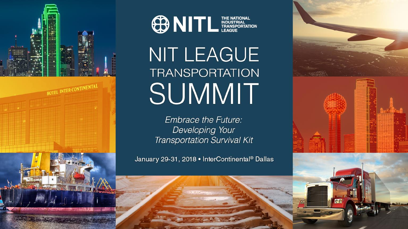



# NIT LEAGUE **TRANSPORTATION** SUMMIT

**Embrace the Future:** Developing Your **Transportation Survival Kit** 

January 29-31, 2018 • InterContinental® Dallas

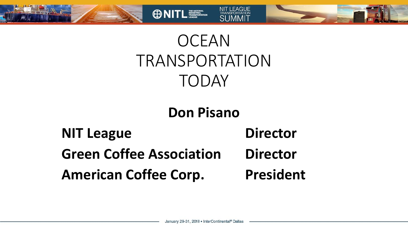

## **OCEAN** TRANSPORTATION TODAY

**ONITL ESSERIT** 

**NIT LEAGUE** 

### **Don Pisano**

## **NIT League Director Green Coffee Association Director American Coffee Corp. President**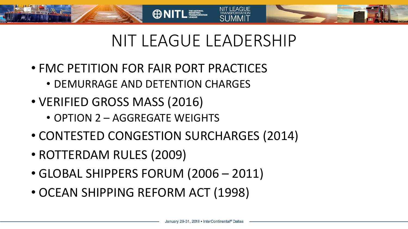



**ONITL ESSERIES** 

- FMC PETITION FOR FAIR PORT PRACTICES
	- DEMURRAGE AND DETENTION CHARGES
- VERIFIED GROSS MASS (2016)
	- OPTION 2 AGGREGATE WEIGHTS
- CONTESTED CONGESTION SURCHARGES (2014)
- ROTTERDAM RULES (2009)
- GLOBAL SHIPPERS FORUM (2006 2011)
- OCEAN SHIPPING REFORM ACT (1998)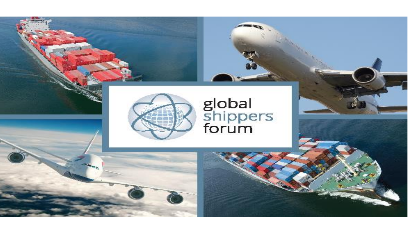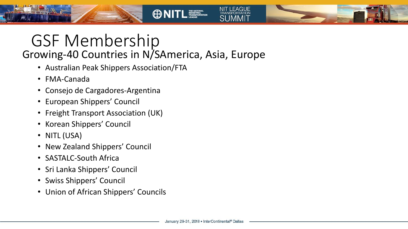### GSF Membership Growing-40 Countries in N/SAmerica, Asia, Europe

**ONITL ESSERIT** 

- Australian Peak Shippers Association/FTA
- FMA-Canada
- Consejo de Cargadores-Argentina
- European Shippers' Council
- Freight Transport Association (UK)
- Korean Shippers' Council
- NITL (USA)
- New Zealand Shippers' Council
- SASTALC-South Africa
- Sri Lanka Shippers' Council
- Swiss Shippers' Council
- Union of African Shippers' Councils

**NIT LEAGUE**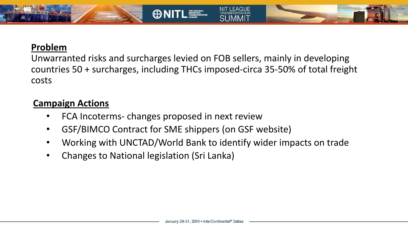#### **Problem**

Unwarranted risks and surcharges levied on FOB sellers, mainly in developing countries 50 + surcharges, including THCs imposed-circa 35-50% of total freight costs

**ONITL ESSENTION** 

NIT LEAGUE

#### **Campaign Actions**

- FCA Incoterms- changes proposed in next review
- GSF/BIMCO Contract for SME shippers (on GSF website)
- Working with UNCTAD/World Bank to identify wider impacts on trade
- Changes to National legislation (Sri Lanka)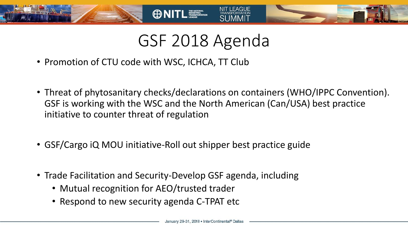## GSF 2018 Agenda

**OD NITL MEARING WATER** 

- Promotion of CTU code with WSC, ICHCA, TT Club
- Threat of phytosanitary checks/declarations on containers (WHO/IPPC Convention). GSF is working with the WSC and the North American (Can/USA) best practice initiative to counter threat of regulation
- GSF/Cargo iQ MOU initiative-Roll out shipper best practice guide
- Trade Facilitation and Security-Develop GSF agenda, including
	- Mutual recognition for AEO/trusted trader
	- Respond to new security agenda C-TPAT etc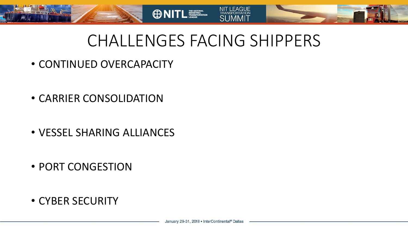

**ONITL ESSEAN** 

- FAGUE

- CONTINUED OVERCAPACITY
- CARRIER CONSOLIDATION
- VESSEL SHARING ALLIANCES
- PORT CONGESTION
- CYBER SECURITY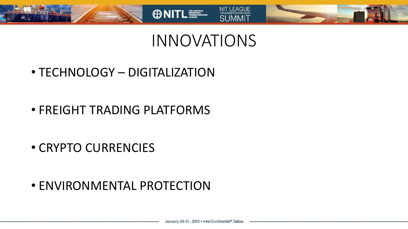

## INNOVATIONS

**ONITL TELECTION** 

• TECHNOLOGY – DIGITALIZATION

• FREIGHT TRADING PLATFORMS

• CRYPTO CURRENCIES

• ENVIRONMENTAL PROTECTION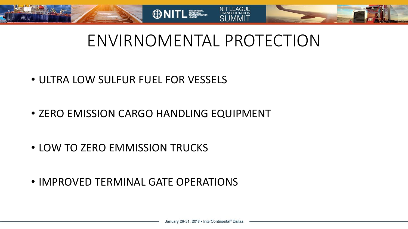



- ULTRA LOW SULFUR FUEL FOR VESSELS
- ZERO EMISSION CARGO HANDLING EQUIPMENT
- LOW TO ZERO EMMISSION TRUCKS
- IMPROVED TERMINAL GATE OPERATIONS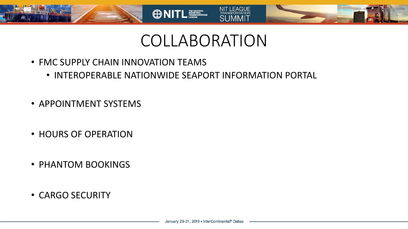

### COLLABORATION

NIT LEAGUE

SI IMMIT

- FMC SUPPLY CHAIN INNOVATION TEAMS
	- INTEROPERABLE NATIONWIDE SEAPORT INFORMATION PORTAL
- APPOINTMENT SYSTEMS
- HOURS OF OPERATION
- PHANTOM BOOKINGS
- CARGO SECURITY